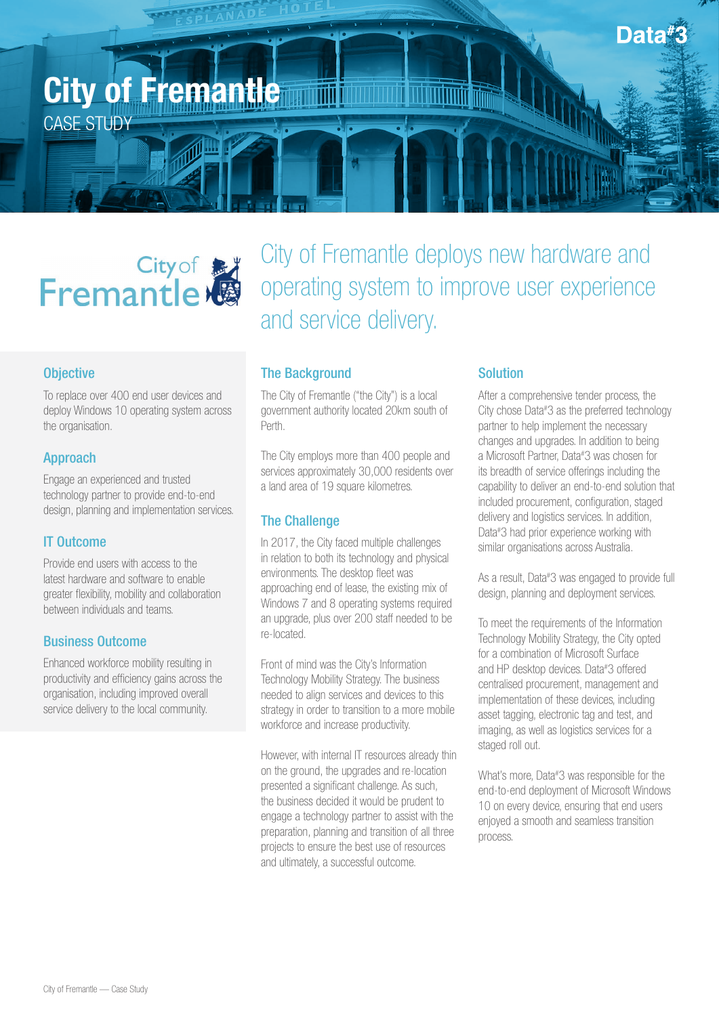

# City of Manuel Remantle

## **Objective**

To replace over 400 end user devices and deploy Windows 10 operating system across the organisation.

#### Approach

Engage an experienced and trusted technology partner to provide end-to-end design, planning and implementation services.

## IT Outcome

Provide end users with access to the latest hardware and software to enable greater flexibility, mobility and collaboration between individuals and teams.

## Business Outcome

Enhanced workforce mobility resulting in productivity and efficiency gains across the organisation, including improved overall service delivery to the local community.

City of Fremantle deploys new hardware and operating system to improve user experience and service delivery.

## The Background

The City of Fremantle ("the City") is a local government authority located 20km south of Perth.

The City employs more than 400 people and services approximately 30,000 residents over a land area of 19 square kilometres.

#### The Challenge

In 2017, the City faced multiple challenges in relation to both its technology and physical environments. The desktop fleet was approaching end of lease, the existing mix of Windows 7 and 8 operating systems required an upgrade, plus over 200 staff needed to be re-located.

Front of mind was the City's Information Technology Mobility Strategy. The business needed to align services and devices to this strategy in order to transition to a more mobile workforce and increase productivity.

However, with internal IT resources already thin on the ground, the upgrades and re-location presented a significant challenge. As such, the business decided it would be prudent to engage a technology partner to assist with the preparation, planning and transition of all three projects to ensure the best use of resources and ultimately, a successful outcome.

## Solution

After a comprehensive tender process, the City chose Data# 3 as the preferred technology partner to help implement the necessary changes and upgrades. In addition to being a Microsoft Partner, Data# 3 was chosen for its breadth of service offerings including the capability to deliver an end-to-end solution that included procurement, configuration, staged delivery and logistics services. In addition, Data# 3 had prior experience working with similar organisations across Australia.

As a result, Data#3 was engaged to provide full design, planning and deployment services.

To meet the requirements of the Information Technology Mobility Strategy, the City opted for a combination of Microsoft Surface and HP desktop devices. Data# 3 offered centralised procurement, management and implementation of these devices, including asset tagging, electronic tag and test, and imaging, as well as logistics services for a staged roll out.

What's more, Data# 3 was responsible for the end-to-end deployment of Microsoft Windows 10 on every device, ensuring that end users enjoyed a smooth and seamless transition process.